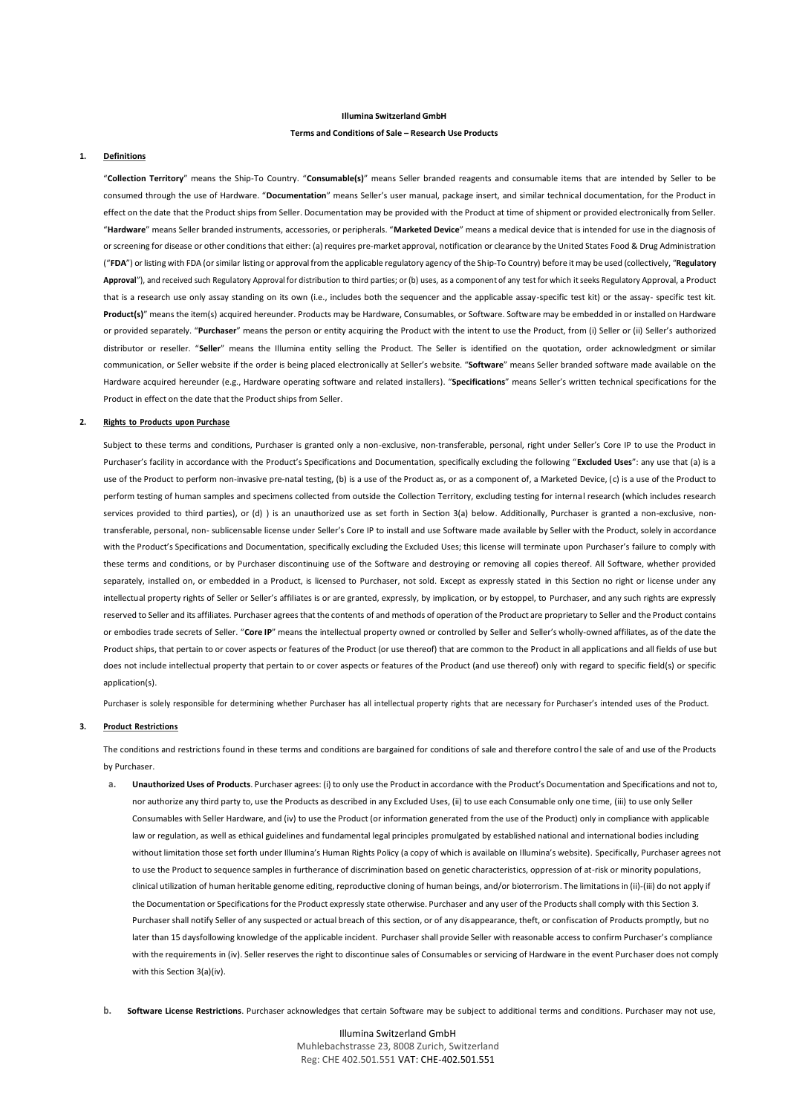#### **Illumina Switzerland GmbH**

#### **Terms and Conditions of Sale – Research Use Products**

#### **1. Definitions**

"**Collection Territory**" means the Ship-To Country. "**Consumable(s)**" means Seller branded reagents and consumable items that are intended by Seller to be consumed through the use of Hardware. "**Documentation**" means Seller's user manual, package insert, and similar technical documentation, for the Product in effect on the date that the Product ships from Seller. Documentation may be provided with the Product at time of shipment or provided electronically from Seller. "**Hardware**" means Seller branded instruments, accessories, or peripherals. "**Marketed Device**" means a medical device that is intended for use in the diagnosis of orscreening for disease or other conditionsthat either: (a) requires pre-market approval, notification or clearance by the United States Food & Drug Administration ("**FDA**") or listing with FDA (or similar listing or approval from the applicable regulatory agency of the Ship-To Country) before it may be used (collectively, "**Regulatory Approval**"), and received such Regulatory Approval for distribution to third parties; or (b) uses, as a component of any test for which it seeks Regulatory Approval, a Product that is a research use only assay standing on its own (i.e., includes both the sequencer and the applicable assay-specific test kit) or the assay- specific test kit. Product(s)" means the item(s) acquired hereunder. Products may be Hardware, Consumables, or Software. Software may be embedded in or installed on Hardware or provided separately. "**Purchaser**" means the person or entity acquiring the Product with the intent to use the Product, from (i) Seller or (ii) Seller's authorized distributor or reseller. "**Seller**" means the Illumina entity selling the Product. The Seller is identified on the quotation, order acknowledgment or similar communication, or Seller website if the order is being placed electronically at Seller's website. "**Software**" means Seller branded software made available on the Hardware acquired hereunder (e.g., Hardware operating software and related installers). "**Specifications**" means Seller's written technical specifications for the Product in effect on the date that the Product ships from Seller.

#### **2. Rights to Products upon Purchase**

Subject to these terms and conditions, Purchaser is granted only a non-exclusive, non-transferable, personal, right under Seller's Core IP to use the Product in Purchaser's facility in accordance with the Product's Specifications and Documentation, specifically excluding the following "**Excluded Uses**": any use that (a) is a use of the Product to perform non-invasive pre-natal testing, (b) is a use of the Product as, or as a component of, a Marketed Device, (c) is a use of the Product to perform testing of human samples and specimens collected from outside the Collection Territory, excluding testing for internal research (which includes research services provided to third parties), or (d) ) is an unauthorized use as set forth in Section 3(a) below. Additionally, Purchaser is granted a non-exclusive, nontransferable, personal, non- sublicensable license under Seller's Core IP to install and use Software made available by Seller with the Product, solely in accordance with the Product's Specifications and Documentation, specifically excluding the Excluded Uses; this license will terminate upon Purchaser's failure to comply with these terms and conditions, or by Purchaser discontinuing use of the Software and destroying or removing all copies thereof. All Software, whether provided separately, installed on, or embedded in a Product, is licensed to Purchaser, not sold. Except as expressly stated in this Section no right or license under any intellectual property rights of Seller or Seller's affiliates is or are granted, expressly, by implication, or by estoppel, to Purchaser, and any such rights are expressly reserved to Seller and its affiliates. Purchaser agrees that the contents of and methods of operation of the Product are proprietary to Seller and the Product contains or embodies trade secrets of Seller. "**Core IP**" means the intellectual property owned or controlled by Seller and Seller's wholly-owned affiliates, as of the date the Product ships, that pertain to or cover aspects or features of the Product (or use thereof) that are common to the Product in all applications and all fields of use but does not include intellectual property that pertain to or cover aspects or features of the Product (and use thereof) only with regard to specific field(s) or specific application(s).

Purchaser is solely responsible for determining whether Purchaser has all intellectual property rights that are necessary for Purchaser's intended uses of the Product.

### **3. Product Restrictions**

The conditions and restrictions found in these terms and conditions are bargained for conditions of sale and therefore control the sale of and use of the Products by Purchaser.

- **a. Unauthorized Uses of Products**. Purchaser agrees: (i) to only use the Product in accordance with the Product's Documentation and Specifications and not to, nor authorize any third party to, use the Products as described in any Excluded Uses, (ii) to use each Consumable only one time, (iii) to use only Seller Consumables with Seller Hardware, and (iv) to use the Product (or information generated from the use of the Product) only in compliance with applicable law or regulation, as well as ethical guidelines and fundamental legal principles promulgated by established national and international bodies including without limitation those set forth under Illumina's Human Rights Policy (a copy of which is available on Illumina's website). Specifically, Purchaser agrees not to use the Product to sequence samples in furtherance of discrimination based on genetic characteristics, oppression of at-risk or minority populations, clinical utilization of human heritable genome editing, reproductive cloning of human beings, and/or bioterrorism. The limitationsin (ii)-(iii) do not apply if the Documentation or Specifications for the Product expressly state otherwise. Purchaser and any user of the Products shall comply with this Section 3. Purchaser shall notify Seller of any suspected or actual breach of this section, or of any disappearance, theft, or confiscation of Products promptly, but no later than 15 daysfollowing knowledge of the applicable incident. Purchaser shall provide Seller with reasonable access to confirm Purchaser's compliance with the requirements in (iv). Seller reserves the right to discontinue sales of Consumables or servicing of Hardware in the event Purchaser does not comply with this Section 3(a)(iv).
- **b. Software License Restrictions**. Purchaser acknowledges that certain Software may be subject to additional terms and conditions. Purchaser may not use,

Illumina Switzerland GmbH Muhlebachstrasse 23, 8008 Zurich, Switzerland Reg: CHE 402.501.551 VAT: CHE-402.501.551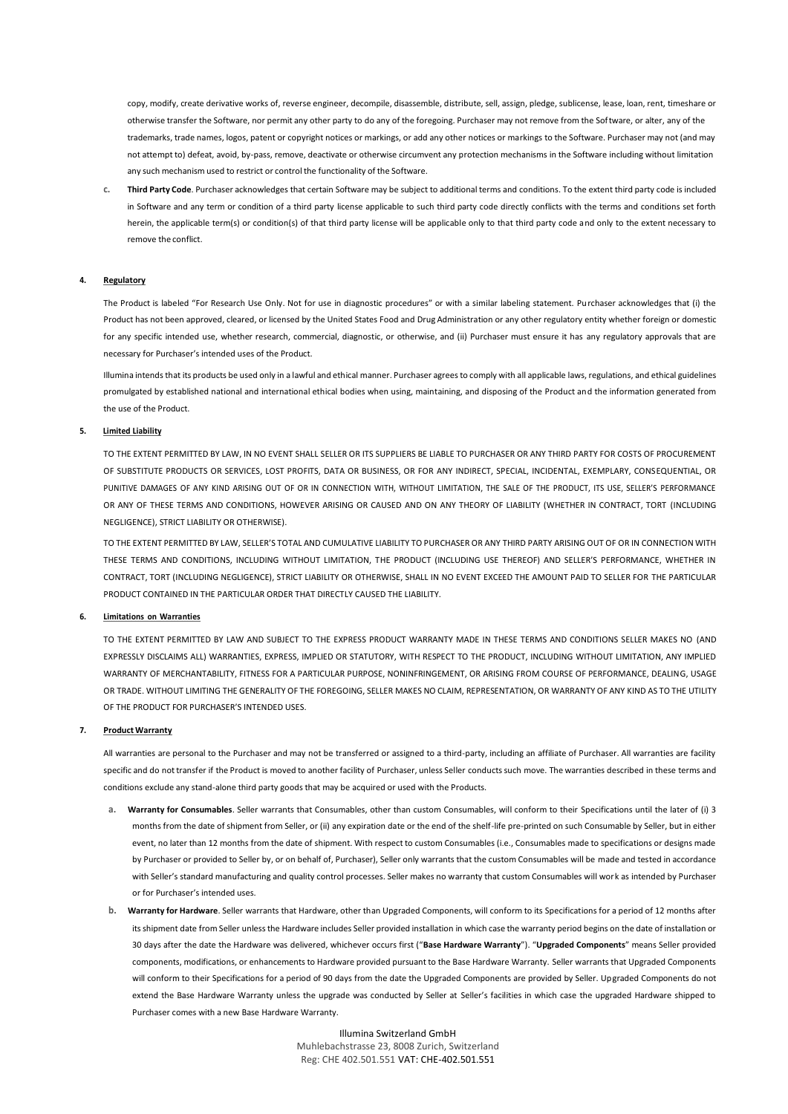copy, modify, create derivative works of, reverse engineer, decompile, disassemble, distribute, sell, assign, pledge, sublicense, lease, loan, rent, timeshare or otherwise transfer the Software, nor permit any other party to do any of the foregoing. Purchaser may not remove from the Software, or alter, any of the trademarks, trade names, logos, patent or copyright notices or markings, or add any other notices or markings to the Software. Purchaser may not (and may not attempt to) defeat, avoid, by-pass, remove, deactivate or otherwise circumvent any protection mechanisms in the Software including without limitation any such mechanism used to restrict or control the functionality of the Software.

**c. Third Party Code**. Purchaser acknowledges that certain Software may be subject to additional terms and conditions. To the extent third party code is included in Software and any term or condition of a third party license applicable to such third party code directly conflicts with the terms and conditions set forth herein, the applicable term(s) or condition(s) of that third party license will be applicable only to that third party code and only to the extent necessary to remove the conflict.

### **4. Regulatory**

The Product is labeled "For Research Use Only. Not for use in diagnostic procedures" or with a similar labeling statement. Purchaser acknowledges that (i) the Product has not been approved, cleared, or licensed by the United States Food and Drug Administration or any other regulatory entity whether foreign or domestic for any specific intended use, whether research, commercial, diagnostic, or otherwise, and (ii) Purchaser must ensure it has any regulatory approvals that are necessary for Purchaser's intended uses of the Product.

Illumina intendsthat its products be used only in a lawful and ethical manner. Purchaser agreesto comply with all applicable laws, regulations, and ethical guidelines promulgated by established national and international ethical bodies when using, maintaining, and disposing of the Product and the information generated from the use of the Product.

# **5. Limited Liability**

TO THE EXTENT PERMITTED BY LAW, IN NO EVENT SHALL SELLER OR ITS SUPPLIERS BE LIABLE TO PURCHASER OR ANY THIRD PARTY FOR COSTS OF PROCUREMENT OF SUBSTITUTE PRODUCTS OR SERVICES, LOST PROFITS, DATA OR BUSINESS, OR FOR ANY INDIRECT, SPECIAL, INCIDENTAL, EXEMPLARY, CONSEQUENTIAL, OR PUNITIVE DAMAGES OF ANY KIND ARISING OUT OF OR IN CONNECTION WITH, WITHOUT LIMITATION, THE SALE OF THE PRODUCT, ITS USE, SELLER'S PERFORMANCE OR ANY OF THESE TERMS AND CONDITIONS, HOWEVER ARISING OR CAUSED AND ON ANY THEORY OF LIABILITY (WHETHER IN CONTRACT, TORT (INCLUDING NEGLIGENCE), STRICT LIABILITY OR OTHERWISE).

TO THE EXTENT PERMITTED BY LAW, SELLER'S TOTAL AND CUMULATIVE LIABILITY TO PURCHASER OR ANY THIRD PARTY ARISING OUT OF OR IN CONNECTION WITH THESE TERMS AND CONDITIONS, INCLUDING WITHOUT LIMITATION, THE PRODUCT (INCLUDING USE THEREOF) AND SELLER'S PERFORMANCE, WHETHER IN CONTRACT, TORT (INCLUDING NEGLIGENCE), STRICT LIABILITY OR OTHERWISE, SHALL IN NO EVENT EXCEED THE AMOUNT PAID TO SELLER FOR THE PARTICULAR PRODUCT CONTAINED IN THE PARTICULAR ORDER THAT DIRECTLY CAUSED THE LIABILITY.

## **6. Limitations on Warranties**

TO THE EXTENT PERMITTED BY LAW AND SUBJECT TO THE EXPRESS PRODUCT WARRANTY MADE IN THESE TERMS AND CONDITIONS SELLER MAKES NO (AND EXPRESSLY DISCLAIMS ALL) WARRANTIES, EXPRESS, IMPLIED OR STATUTORY, WITH RESPECT TO THE PRODUCT, INCLUDING WITHOUT LIMITATION, ANY IMPLIED WARRANTY OF MERCHANTABILITY, FITNESS FOR A PARTICULAR PURPOSE, NONINFRINGEMENT, OR ARISING FROM COURSE OF PERFORMANCE, DEALING, USAGE OR TRADE. WITHOUT LIMITING THE GENERALITY OF THE FOREGOING, SELLER MAKES NO CLAIM, REPRESENTATION, OR WARRANTY OF ANY KIND AS TO THE UTILITY OF THE PRODUCT FOR PURCHASER'S INTENDED USES.

#### **7. Product Warranty**

All warranties are personal to the Purchaser and may not be transferred or assigned to a third-party, including an affiliate of Purchaser. All warranties are facility specific and do not transfer if the Product is moved to another facility of Purchaser, unless Seller conducts such move. The warranties described in these terms and conditions exclude any stand-alone third party goods that may be acquired or used with the Products.

- **a. Warranty for Consumables**. Seller warrants that Consumables, other than custom Consumables, will conform to their Specifications until the later of (i) 3 months from the date of shipment from Seller, or (ii) any expiration date or the end of the shelf-life pre-printed on such Consumable by Seller, but in either event, no later than 12 months from the date of shipment. With respect to custom Consumables (i.e., Consumables made to specifications or designs made by Purchaser or provided to Seller by, or on behalf of, Purchaser), Seller only warrants that the custom Consumables will be made and tested in accordance with Seller's standard manufacturing and quality control processes. Seller makes no warranty that custom Consumables will work as intended by Purchaser or for Purchaser's intended uses.
- **b. Warranty for Hardware**. Seller warrants that Hardware, other than Upgraded Components, will conform to its Specifications for a period of 12 months after its shipment date from Seller unless the Hardware includes Seller provided installation in which case the warranty period begins on the date of installation or 30 days after the date the Hardware was delivered, whichever occurs first ("**Base Hardware Warranty**"). "**Upgraded Components**" means Seller provided components, modifications, or enhancements to Hardware provided pursuant to the Base Hardware Warranty. Seller warrants that Upgraded Components will conform to their Specifications for a period of 90 days from the date the Upgraded Components are provided by Seller. Upgraded Components do not extend the Base Hardware Warranty unless the upgrade was conducted by Seller at Seller's facilities in which case the upgraded Hardware shipped to Purchaser comes with a new Base Hardware Warranty.

Illumina Switzerland GmbH Muhlebachstrasse 23, 8008 Zurich, Switzerland Reg: CHE 402.501.551 VAT: CHE-402.501.551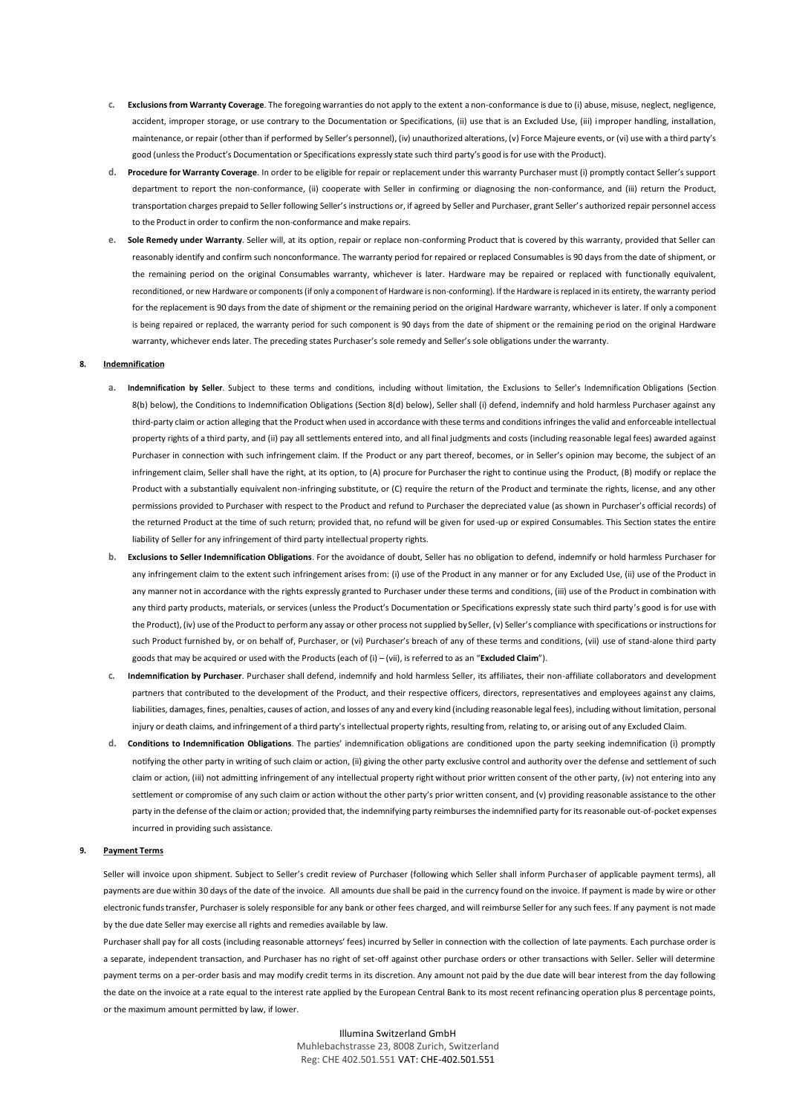- **c. Exclusionsfrom Warranty Coverage**. The foregoing warranties do not apply to the extent a non-conformance is due to (i) abuse, misuse, neglect, negligence, accident, improper storage, or use contrary to the Documentation or Specifications, (ii) use that is an Excluded Use, (iii) improper handling, installation, maintenance, or repair (other than if performed by Seller's personnel), (iv) unauthorized alterations, (v) Force Majeure events, or (vi) use with a third party's good (unlessthe Product's Documentation or Specifications expressly state such third party's good is for use with the Product).
- **d. Procedure for Warranty Coverage**. In order to be eligible for repair or replacement under this warranty Purchaser must (i) promptly contact Seller's support department to report the non-conformance, (ii) cooperate with Seller in confirming or diagnosing the non-conformance, and (iii) return the Product, transportation charges prepaid to Seller following Seller's instructions or, if agreed by Seller and Purchaser, grant Seller's authorized repair personnel access to the Product in order to confirm the non-conformance and make repairs.
- **e. Sole Remedy under Warranty**. Seller will, at its option, repair or replace non-conforming Product that is covered by this warranty, provided that Seller can reasonably identify and confirm such nonconformance. The warranty period for repaired or replaced Consumables is 90 days from the date of shipment, or the remaining period on the original Consumables warranty, whichever is later. Hardware may be repaired or replaced with functionally equivalent, reconditioned, or new Hardware or components (if only a component of Hardware is non-conforming). If the Hardware is replaced in its entirety, the warranty period for the replacement is 90 days from the date of shipment or the remaining period on the original Hardware warranty, whichever is later. If only a component is being repaired or replaced, the warranty period for such component is 90 days from the date of shipment or the remaining pe riod on the original Hardware warranty, whichever ends later. The preceding states Purchaser's sole remedy and Seller's sole obligations under the warranty.

#### **8. Indemnification**

- **a. Indemnification by Seller**. Subject to these terms and conditions, including without limitation, the Exclusions to Seller's Indemnification Obligations (Section 8(b) below), the Conditions to Indemnification Obligations (Section 8(d) below), Seller shall (i) defend, indemnify and hold harmless Purchaser against any third-party claim or action alleging that the Product when used in accordance with these terms and conditions infringes the valid and enforceable intellectual property rights of a third party, and (ii) pay all settlements entered into, and all final judgments and costs (including reasonable legal fees) awarded against Purchaser in connection with such infringement claim. If the Product or any part thereof, becomes, or in Seller's opinion may become, the subject of an infringement claim, Seller shall have the right, at its option, to (A) procure for Purchaser the right to continue using the Product, (B) modify or replace the Product with a substantially equivalent non-infringing substitute, or (C) require the return of the Product and terminate the rights, license, and any other permissions provided to Purchaser with respect to the Product and refund to Purchaser the depreciated value (as shown in Purchaser's official records) of the returned Product at the time of such return; provided that, no refund will be given for used-up or expired Consumables. This Section states the entire liability of Seller for any infringement of third party intellectual property rights.
- **b. Exclusions to Seller Indemnification Obligations**. For the avoidance of doubt, Seller has no obligation to defend, indemnify or hold harmless Purchaser for any infringement claim to the extent such infringement arises from: (i) use of the Product in any manner or for any Excluded Use, (ii) use of the Product in any manner not in accordance with the rights expressly granted to Purchaser under these terms and conditions, (iii) use of the Product in combination with any third party products, materials, or services (unless the Product's Documentation or Specifications expressly state such third party's good is for use with the Product), (iv) use of the Product to perform any assay or other process not supplied by Seller, (y) Seller's compliance with specifications or instructions for such Product furnished by, or on behalf of, Purchaser, or (vi) Purchaser's breach of any of these terms and conditions, (vii) use of stand-alone third party goods that may be acquired or used with the Products(each of (i) – (vii), is referred to as an "**Excluded Claim**").
- **c. Indemnification by Purchaser**. Purchaser shall defend, indemnify and hold harmless Seller, its affiliates, their non-affiliate collaborators and development partners that contributed to the development of the Product, and their respective officers, directors, representatives and employees against any claims, liabilities, damages, fines, penalties, causes of action, and losses of any and every kind (including reasonable legal fees), including without limitation, personal injury or death claims, and infringement of a third party's intellectual property rights, resulting from, relating to, or arising out of any Excluded Claim.
- **d. Conditions to Indemnification Obligations**. The parties' indemnification obligations are conditioned upon the party seeking indemnification (i) promptly notifying the other party in writing of such claim or action, (ii) giving the other party exclusive control and authority over the defense and settlement of such claim or action, (iii) not admitting infringement of any intellectual property right without prior written consent of the other party, (iv) not entering into any settlement or compromise of any such claim or action without the other party's prior written consent, and (v) providing reasonable assistance to the other party in the defense of the claim or action; provided that, the indemnifying party reimburses the indemnified party for its reasonable out-of-pocket expenses incurred in providing such assistance.

#### **9. Payment Terms**

Seller will invoice upon shipment. Subject to Seller's credit review of Purchaser (following which Seller shall inform Purchaser of applicable payment terms), all payments are due within 30 days of the date of the invoice. All amounts due shall be paid in the currency found on the invoice. If payment is made by wire or other electronic funds transfer, Purchaser is solely responsible for any bank or other fees charged, and will reimburse Seller for any such fees. If any payment is not made by the due date Seller may exercise all rights and remedies available by law.

Purchaser shall pay for all costs (including reasonable attorneys' fees) incurred by Seller in connection with the collection of late payments. Each purchase order is a separate, independent transaction, and Purchaser has no right of set-off against other purchase orders or other transactions with Seller. Seller will determine payment terms on a per-order basis and may modify credit terms in its discretion. Any amount not paid by the due date will bear interest from the day following the date on the invoice at a rate equal to the interest rate applied by the European Central Bank to its most recent refinancing operation plus 8 percentage points, or the maximum amount permitted by law, if lower.

> Illumina Switzerland GmbH Muhlebachstrasse 23, 8008 Zurich, Switzerland Reg: CHE 402.501.551 VAT: CHE-402.501.551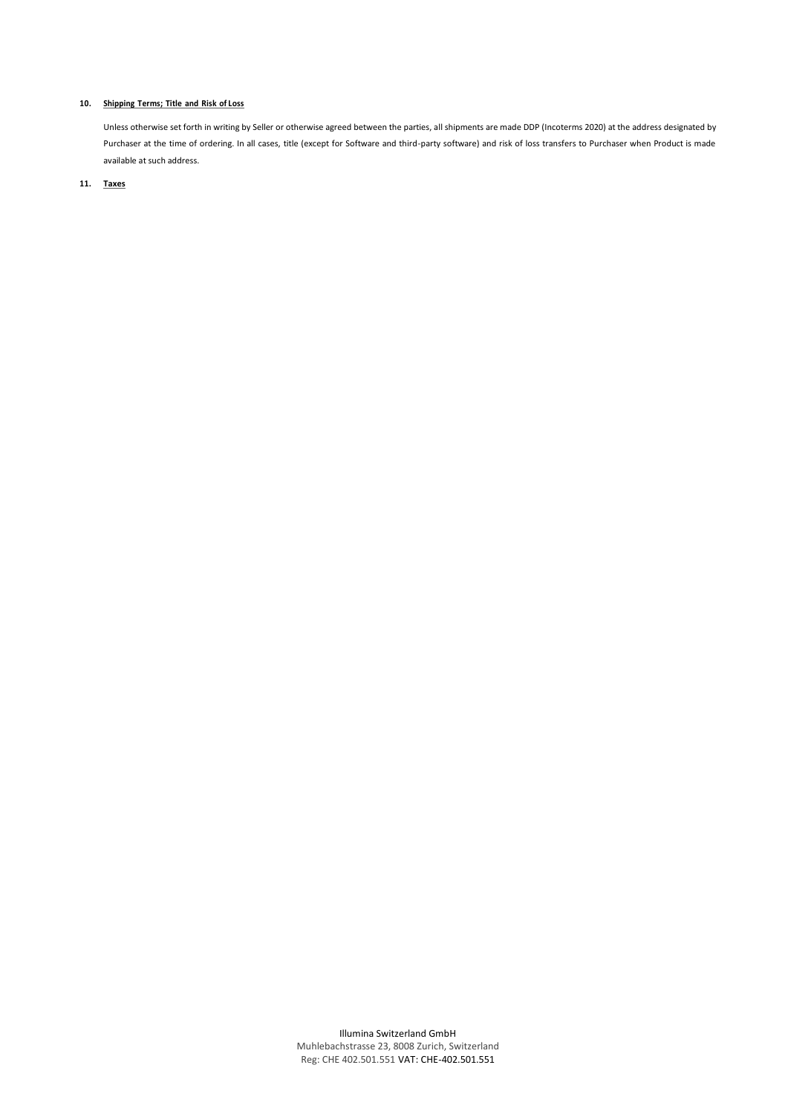# **10. Shipping Terms; Title and Risk of Loss**

Unless otherwise set forth in writing by Seller or otherwise agreed between the parties, all shipments are made DDP (Incoterms 2020) at the address designated by Purchaser at the time of ordering. In all cases, title (except for Software and third-party software) and risk of loss transfers to Purchaser when Product is made available at such address.

# **11. Taxes**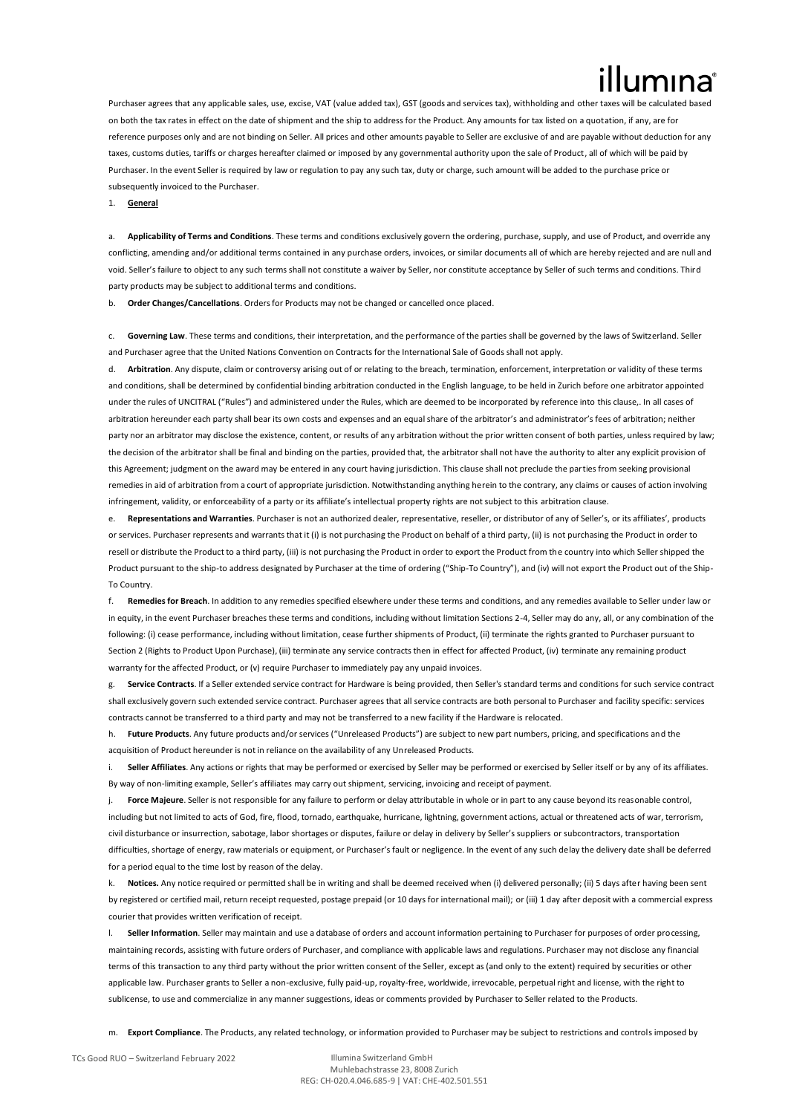Purchaser agrees that any applicable sales, use, excise, VAT (value added tax), GST (goods and services tax), withholding and other taxes will be cal on both the tax rates in effect on the date of shipment and the ship to address for the Product. Any amounts for tax listed on a quotation, if any, are for reference purposes only and are not binding on Seller. All prices and other amounts payable to Seller are exclusive of and are payable without deduction for any taxes, customs duties, tariffs or charges hereafter claimed or imposed by any governmental authority upon the sale of Product, all of which will be paid by Purchaser. In the event Seller is required by law or regulation to pay any such tax, duty or charge, such amount will be added to the purchase price or subsequently invoiced to the Purchaser.

1. **General**

a. **Applicability of Terms and Conditions**. These terms and conditions exclusively govern the ordering, purchase, supply, and use of Product, and override any conflicting, amending and/or additional terms contained in any purchase orders, invoices, or similar documents all of which are hereby rejected and are null and void. Seller's failure to object to any such terms shall not constitute a waiver by Seller, nor constitute acceptance by Seller of such terms and conditions. Third party products may be subject to additional terms and conditions.

b. **Order Changes/Cancellations**. Orders for Products may not be changed or cancelled once placed.

c. **Governing Law**. These terms and conditions, their interpretation, and the performance of the parties shall be governed by the laws of Switzerland. Seller and Purchaser agree that the United Nations Convention on Contracts for the International Sale of Goods shall not apply.

d. **Arbitration**. Any dispute, claim or controversy arising out of or relating to the breach, termination, enforcement, interpretation or validity of these terms and conditions, shall be determined by confidential binding arbitration conducted in the English language, to be held in Zurich before one arbitrator appointed under the rules of UNCITRAL ("Rules") and administered under the Rules, which are deemed to be incorporated by reference into this clause,. In all cases of arbitration hereunder each party shall bear its own costs and expenses and an equal share of the arbitrator's and administrator's fees of arbitration; neither party nor an arbitrator may disclose the existence, content, or results of any arbitration without the prior written consent of both parties, unless required by law; the decision of the arbitrator shall be final and binding on the parties, provided that, the arbitrator shall not have the authority to alter any explicit provision of this Agreement; judgment on the award may be entered in any court having jurisdiction. This clause shall not preclude the parties from seeking provisional remedies in aid of arbitration from a court of appropriate jurisdiction. Notwithstanding anything herein to the contrary, any claims or causes of action involving infringement, validity, or enforceability of a party or its affiliate's intellectual property rights are not subject to this arbitration clause.

Representations and Warranties. Purchaser is not an authorized dealer, representative, reseller, or distributor of any of Seller's, or its affiliates', products or services. Purchaser represents and warrants that it (i) is not purchasing the Product on behalf of a third party, (ii) is not purchasing the Product in order to resell or distribute the Product to a third party, (iii) is not purchasing the Product in order to export the Product from the country into which Seller shipped the Product pursuant to the ship-to address designated by Purchaser at the time of ordering ("Ship-To Country"), and (iv) will not export the Product out of the Ship-To Country.

**Remedies for Breach**. In addition to any remedies specified elsewhere under these terms and conditions, and any remedies available to Seller under law or in equity, in the event Purchaser breaches these terms and conditions, including without limitation Sections 2-4, Seller may do any, all, or any combination of the following: (i) cease performance, including without limitation, cease further shipments of Product, (ii) terminate the rights granted to Purchaser pursuant to Section 2 (Rights to Product Upon Purchase), (iii) terminate any service contracts then in effect for affected Product, (iv) terminate any remaining product warranty for the affected Product, or (v) require Purchaser to immediately pay any unpaid invoices.

Service Contracts. If a Seller extended service contract for Hardware is being provided, then Seller's standard terms and conditions for such service contract shall exclusively govern such extended service contract. Purchaser agrees that all service contracts are both personal to Purchaser and facility specific: services contracts cannot be transferred to a third party and may not be transferred to a new facility if the Hardware is relocated.

Future Products. Any future products and/or services ("Unreleased Products") are subject to new part numbers, pricing, and specifications and the acquisition of Product hereunder is not in reliance on the availability of any Unreleased Products.

i. **Seller Affiliates**. Any actions or rights that may be performed or exercised by Seller may be performed or exercised by Seller itself or by any of its affiliates. By way of non-limiting example, Seller's affiliates may carry out shipment, servicing, invoicing and receipt of payment.

Force Majeure. Seller is not responsible for any failure to perform or delay attributable in whole or in part to any cause beyond its reasonable control, including but not limited to acts of God, fire, flood, tornado, earthquake, hurricane, lightning, government actions, actual or threatened acts of war, terrorism, civil disturbance or insurrection, sabotage, labor shortages or disputes, failure or delay in delivery by Seller's suppliers or subcontractors, transportation difficulties, shortage of energy, raw materials or equipment, or Purchaser's fault or negligence. In the event of any such delay the delivery date shall be deferred for a period equal to the time lost by reason of the delay.

Notices. Any notice required or permitted shall be in writing and shall be deemed received when (i) delivered personally; (ii) 5 days after having been sent by registered or certified mail, return receipt requested, postage prepaid (or 10 days for international mail); or (iii) 1 day after deposit with a commercial express courier that provides written verification of receipt.

l. **Seller Information**. Seller may maintain and use a database of orders and account information pertaining to Purchaser for purposes of order processing, maintaining records, assisting with future orders of Purchaser, and compliance with applicable laws and regulations. Purchaser may not disclose any financial terms of this transaction to any third party without the prior written consent of the Seller, except as (and only to the extent) required by securities or other applicable law. Purchaser grants to Seller a non-exclusive, fully paid-up, royalty-free, worldwide, irrevocable, perpetual right and license, with the right to sublicense, to use and commercialize in any manner suggestions, ideas or comments provided by Purchaser to Seller related to the Products.

m. **Export Compliance**. The Products, any related technology, or information provided to Purchaser may be subject to restrictions and controls imposed by